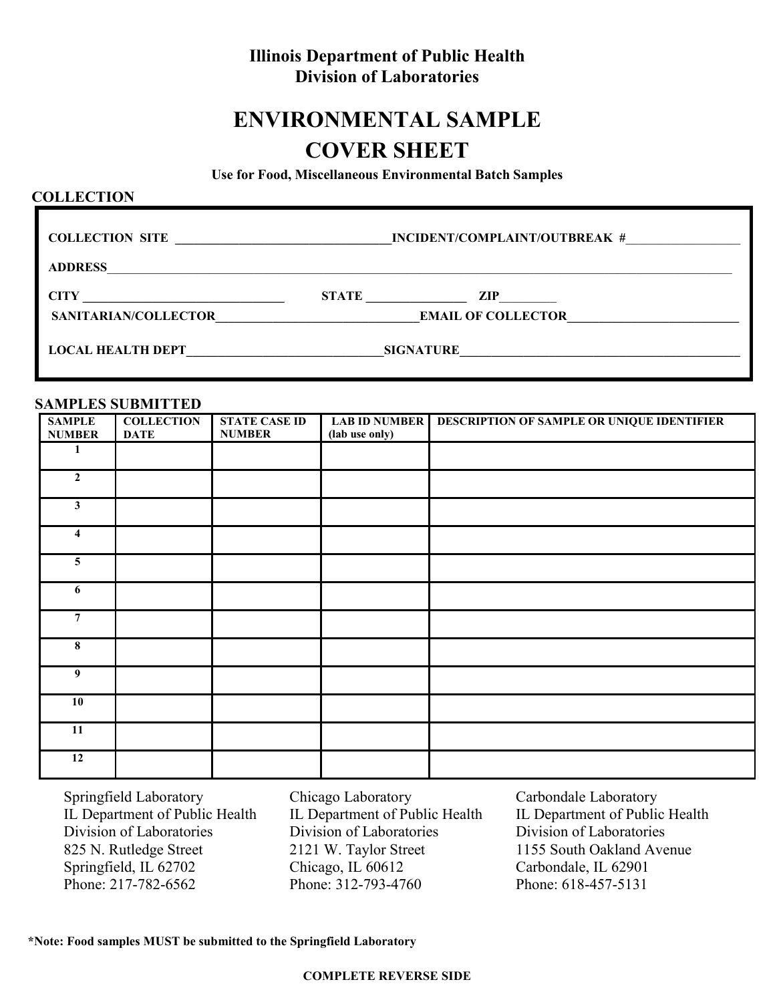## **Illinois Department of Public Health Division of Laboratories**

# **ENVIRONMENTAL SAMPLE COVER SHEET**

**Use for Food, Miscellaneous Environmental Batch Samples**

### **COLLECTION**

| <b>COLLECTION SITE</b><br><u>and the contract of the contract of the contract of the contract of the contract of the contract of the contract of the contract of the contract of the contract of the contract of the contract of the contract of the contr</u> | INCIDENT/COMPLAINT/OUTBREAK # |
|----------------------------------------------------------------------------------------------------------------------------------------------------------------------------------------------------------------------------------------------------------------|-------------------------------|
| <b>ADDRESS</b>                                                                                                                                                                                                                                                 |                               |
| <b>CITY</b>                                                                                                                                                                                                                                                    | STATE                         |
|                                                                                                                                                                                                                                                                | $\mathbf{ZIP}$                |
| <b>SANITARIAN/COLLECTOR</b>                                                                                                                                                                                                                                    | <b>EMAIL OF COLLECTOR</b>     |
| <b>LOCAL HEALTH DEPT</b>                                                                                                                                                                                                                                       | <b>SIGNATURE</b>              |
|                                                                                                                                                                                                                                                                |                               |

#### **SAMPLES SUBMITTED**

|                     | $51$ m, $11$ m, $100$ is $100$ in $100$ |                      |                      |                                            |
|---------------------|-----------------------------------------|----------------------|----------------------|--------------------------------------------|
| <b>SAMPLE</b>       | <b>COLLECTION</b>                       | <b>STATE CASE ID</b> | <b>LAB ID NUMBER</b> | DESCRIPTION OF SAMPLE OR UNIQUE IDENTIFIER |
| <b>NUMBER</b>       | <b>DATE</b>                             | <b>NUMBER</b>        | (lab use only)       |                                            |
|                     |                                         |                      |                      |                                            |
|                     |                                         |                      |                      |                                            |
|                     |                                         |                      |                      |                                            |
|                     |                                         |                      |                      |                                            |
| $\mathbf{2}$        |                                         |                      |                      |                                            |
|                     |                                         |                      |                      |                                            |
|                     |                                         |                      |                      |                                            |
| $\mathbf{3}$        |                                         |                      |                      |                                            |
|                     |                                         |                      |                      |                                            |
|                     |                                         |                      |                      |                                            |
| $\overline{\bf{4}}$ |                                         |                      |                      |                                            |
|                     |                                         |                      |                      |                                            |
|                     |                                         |                      |                      |                                            |
| $\overline{5}$      |                                         |                      |                      |                                            |
|                     |                                         |                      |                      |                                            |
|                     |                                         |                      |                      |                                            |
| 6                   |                                         |                      |                      |                                            |
|                     |                                         |                      |                      |                                            |
|                     |                                         |                      |                      |                                            |
| $\overline{7}$      |                                         |                      |                      |                                            |
|                     |                                         |                      |                      |                                            |
|                     |                                         |                      |                      |                                            |
| 8                   |                                         |                      |                      |                                            |
|                     |                                         |                      |                      |                                            |
|                     |                                         |                      |                      |                                            |
| 9                   |                                         |                      |                      |                                            |
|                     |                                         |                      |                      |                                            |
|                     |                                         |                      |                      |                                            |
| 10                  |                                         |                      |                      |                                            |
|                     |                                         |                      |                      |                                            |
|                     |                                         |                      |                      |                                            |
| 11                  |                                         |                      |                      |                                            |
|                     |                                         |                      |                      |                                            |
|                     |                                         |                      |                      |                                            |
| 12                  |                                         |                      |                      |                                            |
|                     |                                         |                      |                      |                                            |

Springfield Laboratory IL Department of Public Health Division of Laboratories 825 N. Rutledge Street Springfield, IL 62702 Phone: 217-782-6562

Chicago Laboratory IL Department of Public Health Division of Laboratories 2121 W. Taylor Street Chicago, IL 60612 Phone: 312-793-4760

Carbondale Laboratory IL Department of Public Health Division of Laboratories 1155 South Oakland Avenue Carbondale, IL 62901 Phone: 618-457-5131

**\*Note: Food samples MUST be submitted to the Springfield Laboratory**